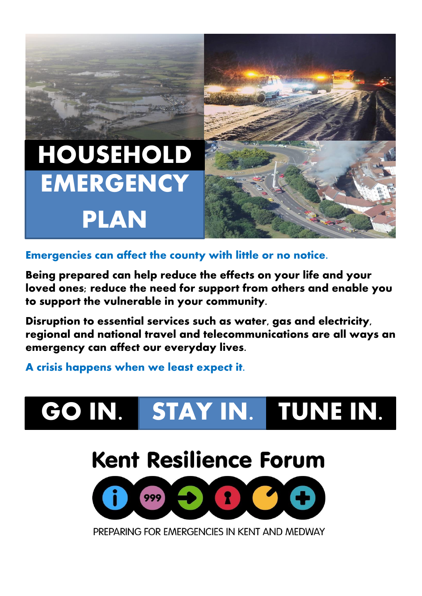# **EMERGENCY PLAN HOUSEHOLD**



# **Emergencies can affect the county with little or no notice.**

**Being prepared can help reduce the effects on your life and your loved ones; reduce the need for support from others and enable you to support the vulnerable in your community.** 

**Disruption to essential services such as water, gas and electricity, regional and national travel and telecommunications are all ways an emergency can affect our everyday lives.** 

### **A crisis happens when we least expect it.**

# **GO IN. STAY IN. TUNE IN.**

# **Kent Resilience Forum**



PREPARING FOR EMERGENCIES IN KENT AND MEDWAY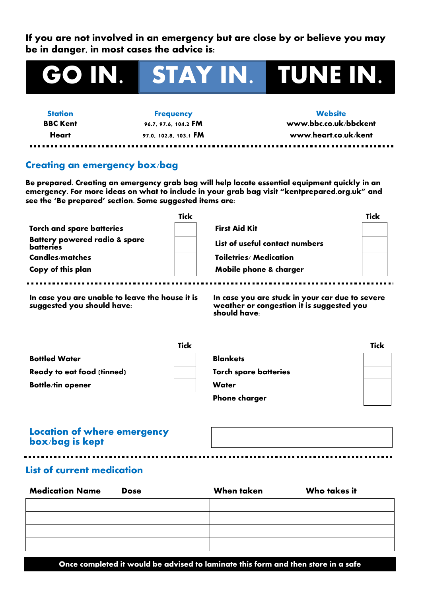**If you are not involved in an emergency but are close by or believe you may be in danger, in most cases the advice is:**

# **GO IN. STAY IN. TUNE IN.**

-------------

**Station Frequency Website**

**BBC Kent 96.7, 97.6, 104.2 FM www.bbc.co.uk/bbckent Heart 97.0, 102.8, 103.1 FM www.heart.co.uk/kent**

. . . . . . . . . . . . . . . .

#### **Creating an emergency box/bag**

**Be prepared. Creating an emergency grab bag will help locate essential equipment quickly in an emergency. For more ideas on what to include in your grab bag visit "kentprepared.org.uk" and see the 'Be prepared' section. Some suggested items are:**

| <b>Tick</b>                                                  |                                | <b>Tick</b> |
|--------------------------------------------------------------|--------------------------------|-------------|
| <b>Torch and spare batteries</b>                             | <b>First Aid Kit</b>           |             |
| <b>Battery powered radio &amp; spare</b><br><b>batteries</b> | List of useful contact numbers |             |
| Candles/matches                                              | Toiletries/ Medication         |             |
| Copy of this plan                                            | Mobile phone & charger         |             |

**In case you are unable to leave the house it is suggested you should have:**

**In case you are stuck in your car due to severe weather or congestion it is suggested you should have:**

|                            | <b>Tick</b>                  | <b>Tick</b> |
|----------------------------|------------------------------|-------------|
| <b>Bottled Water</b>       | <b>Blankets</b>              |             |
| Ready to eat food (tinned) | <b>Torch spare batteries</b> |             |
| <b>Bottle/tin opener</b>   | <b>Water</b>                 |             |
|                            | <b>Phone charger</b>         |             |

#### **Location of where emergency box/bag is kept**

#### **List of current medication**

| <b>Medication Name</b> | <b>Dose</b> | <b>When taken</b> | Who takes it |
|------------------------|-------------|-------------------|--------------|
|                        |             |                   |              |
|                        |             |                   |              |
|                        |             |                   |              |
|                        |             |                   |              |

**Once completed it would be advised to laminate this form and then store in a safe**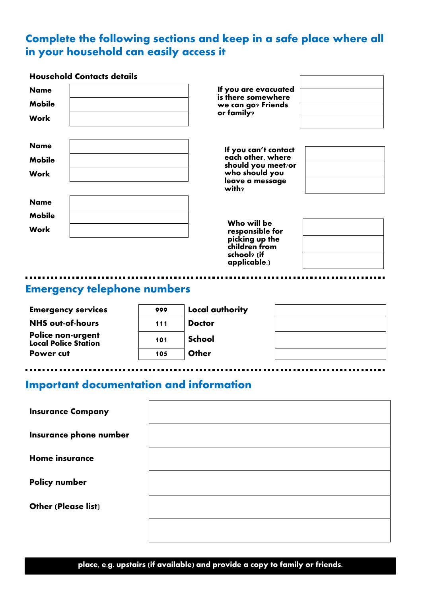# **Complete the following sections and keep in a safe place where all in your household can easily access it**

| <b>Household Contacts details</b> |                                            |
|-----------------------------------|--------------------------------------------|
| <b>Name</b>                       | If you are evacuated<br>is there somewhere |
| <b>Mobile</b>                     | we can go? Friends                         |
| Work                              | or family?                                 |
| <b>Name</b>                       |                                            |
| <b>Mobile</b>                     | If you can't contact<br>each other, where  |
| Work                              | should you meet/or<br>who should you       |
|                                   | leave a message<br>with?                   |
| <b>Name</b>                       |                                            |
| <b>Mobile</b>                     |                                            |
| Work                              | Who will be<br>responsible for             |
|                                   | picking up the<br>children from            |
|                                   | school? (if                                |

# **Emergency telephone numbers**

| <b>Emergency services</b>                         | 999 | Local authority |  |
|---------------------------------------------------|-----|-----------------|--|
| <b>NHS out-of-hours</b>                           | 111 | <b>Doctor</b>   |  |
| <b>Police non-urgent<br/>Local Police Station</b> | 101 | School          |  |
| Power cut                                         | 105 | Other           |  |
|                                                   |     |                 |  |

**applicable.)** 

# **Important documentation and information**

| <b>Insurance Company</b>   |  |
|----------------------------|--|
| Insurance phone number     |  |
| <b>Home insurance</b>      |  |
| <b>Policy number</b>       |  |
| <b>Other (Please list)</b> |  |
|                            |  |

**place, e.g. upstairs (if available) and provide a copy to family or friends.**